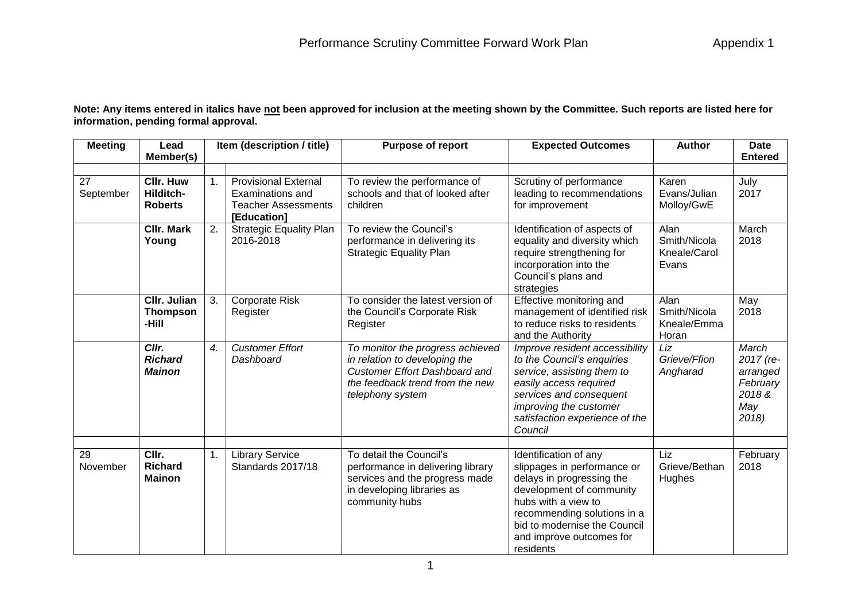**Note: Any items entered in italics have not been approved for inclusion at the meeting shown by the Committee. Such reports are listed here for information, pending formal approval.**

| <b>Meeting</b>  | Lead<br>Member(s)                               |                       | Item (description / title)                                                                          | <b>Purpose of report</b>                                                                                                                                         | <b>Expected Outcomes</b>                                                                                                                                                                                                                     | <b>Author</b>                                 | <b>Date</b><br><b>Entered</b>                                       |
|-----------------|-------------------------------------------------|-----------------------|-----------------------------------------------------------------------------------------------------|------------------------------------------------------------------------------------------------------------------------------------------------------------------|----------------------------------------------------------------------------------------------------------------------------------------------------------------------------------------------------------------------------------------------|-----------------------------------------------|---------------------------------------------------------------------|
| 27<br>September | <b>CIIr. Huw</b><br>Hilditch-<br><b>Roberts</b> | 1.                    | <b>Provisional External</b><br><b>Examinations and</b><br><b>Teacher Assessments</b><br>[Education] | To review the performance of<br>schools and that of looked after<br>children                                                                                     | Scrutiny of performance<br>leading to recommendations<br>for improvement                                                                                                                                                                     | Karen<br>Evans/Julian<br>Molloy/GwE           | July<br>2017                                                        |
|                 | <b>CIIr. Mark</b><br>Young                      | 2.                    | <b>Strategic Equality Plan</b><br>2016-2018                                                         | To review the Council's<br>performance in delivering its<br><b>Strategic Equality Plan</b>                                                                       | Identification of aspects of<br>equality and diversity which<br>require strengthening for<br>incorporation into the<br>Council's plans and<br>strategies                                                                                     | Alan<br>Smith/Nicola<br>Kneale/Carol<br>Evans | March<br>2018                                                       |
|                 | <b>CIIr. Julian</b><br><b>Thompson</b><br>-Hill | 3.                    | <b>Corporate Risk</b><br>Register                                                                   | To consider the latest version of<br>the Council's Corporate Risk<br>Register                                                                                    | Effective monitoring and<br>management of identified risk<br>to reduce risks to residents<br>and the Authority                                                                                                                               | Alan<br>Smith/Nicola<br>Kneale/Emma<br>Horan  | May<br>2018                                                         |
|                 | Cllr.<br><b>Richard</b><br><b>Mainon</b>        | $\mathcal{A}_{\cdot}$ | <b>Customer Effort</b><br>Dashboard                                                                 | To monitor the progress achieved<br>in relation to developing the<br><b>Customer Effort Dashboard and</b><br>the feedback trend from the new<br>telephony system | Improve resident accessibility<br>to the Council's enquiries<br>service, assisting them to<br>easily access required<br>services and consequent<br>improving the customer<br>satisfaction experience of the<br>Council                       | Liz<br>Grieve/Ffion<br>Angharad               | March<br>2017 (re-<br>arranged<br>February<br>2018&<br>May<br>2018) |
| 29<br>November  | CIIr.<br><b>Richard</b><br><b>Mainon</b>        | 1.                    | <b>Library Service</b><br>Standards 2017/18                                                         | To detail the Council's<br>performance in delivering library<br>services and the progress made<br>in developing libraries as<br>community hubs                   | Identification of any<br>slippages in performance or<br>delays in progressing the<br>development of community<br>hubs with a view to<br>recommending solutions in a<br>bid to modernise the Council<br>and improve outcomes for<br>residents | Liz<br>Grieve/Bethan<br>Hughes                | February<br>2018                                                    |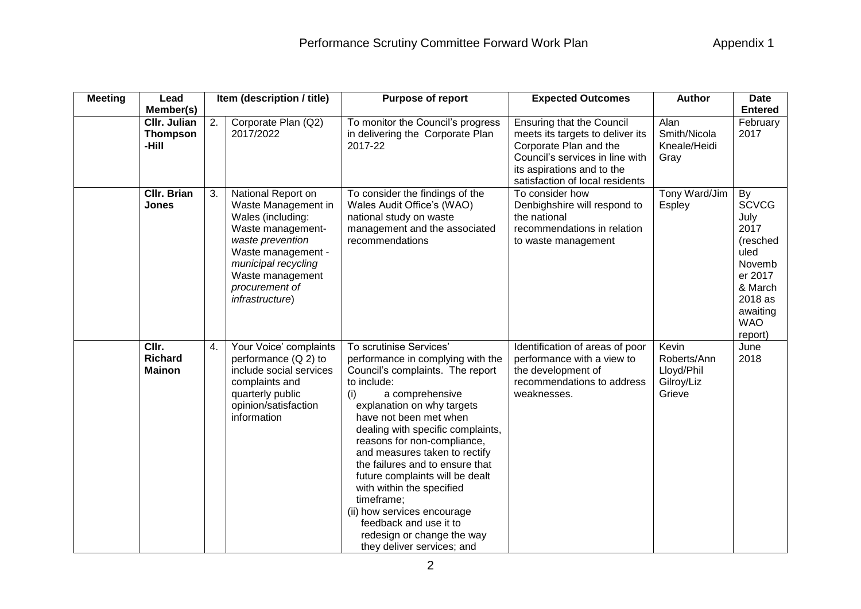| <b>Meeting</b> | Lead                                            |    | Item (description / title)                                                                                                                                                                                    | Purpose of report                                                                                                                                                                                                                                                                                                                                                                                                                                                                                                                            | <b>Expected Outcomes</b>                                                                                                                                                                           | <b>Author</b>                                              | <b>Date</b>                                                                                                                            |
|----------------|-------------------------------------------------|----|---------------------------------------------------------------------------------------------------------------------------------------------------------------------------------------------------------------|----------------------------------------------------------------------------------------------------------------------------------------------------------------------------------------------------------------------------------------------------------------------------------------------------------------------------------------------------------------------------------------------------------------------------------------------------------------------------------------------------------------------------------------------|----------------------------------------------------------------------------------------------------------------------------------------------------------------------------------------------------|------------------------------------------------------------|----------------------------------------------------------------------------------------------------------------------------------------|
|                | Member(s)                                       |    |                                                                                                                                                                                                               |                                                                                                                                                                                                                                                                                                                                                                                                                                                                                                                                              |                                                                                                                                                                                                    |                                                            | <b>Entered</b>                                                                                                                         |
|                | <b>CIIr. Julian</b><br><b>Thompson</b><br>-Hill | 2. | Corporate Plan (Q2)<br>2017/2022                                                                                                                                                                              | To monitor the Council's progress<br>in delivering the Corporate Plan<br>2017-22                                                                                                                                                                                                                                                                                                                                                                                                                                                             | <b>Ensuring that the Council</b><br>meets its targets to deliver its<br>Corporate Plan and the<br>Council's services in line with<br>its aspirations and to the<br>satisfaction of local residents | Alan<br>Smith/Nicola<br>Kneale/Heidi<br>Gray               | February<br>2017                                                                                                                       |
|                | <b>CIIr. Brian</b><br>Jones                     | 3. | National Report on<br>Waste Management in<br>Wales (including:<br>Waste management-<br>waste prevention<br>Waste management -<br>municipal recycling<br>Waste management<br>procurement of<br>infrastructure) | To consider the findings of the<br>Wales Audit Office's (WAO)<br>national study on waste<br>management and the associated<br>recommendations                                                                                                                                                                                                                                                                                                                                                                                                 | To consider how<br>Denbighshire will respond to<br>the national<br>recommendations in relation<br>to waste management                                                                              | Tony Ward/Jim<br><b>Espley</b>                             | By<br><b>SCVCG</b><br>July<br>2017<br>(resched<br>uled<br>Novemb<br>er 2017<br>& March<br>2018 as<br>awaiting<br><b>WAO</b><br>report) |
|                | CIIr.<br><b>Richard</b><br><b>Mainon</b>        | 4. | Your Voice' complaints<br>performance (Q 2) to<br>include social services<br>complaints and<br>quarterly public<br>opinion/satisfaction<br>information                                                        | To scrutinise Services'<br>performance in complying with the<br>Council's complaints. The report<br>to include:<br>a comprehensive<br>(i)<br>explanation on why targets<br>have not been met when<br>dealing with specific complaints,<br>reasons for non-compliance,<br>and measures taken to rectify<br>the failures and to ensure that<br>future complaints will be dealt<br>with within the specified<br>timeframe;<br>(ii) how services encourage<br>feedback and use it to<br>redesign or change the way<br>they deliver services; and | Identification of areas of poor<br>performance with a view to<br>the development of<br>recommendations to address<br>weaknesses.                                                                   | Kevin<br>Roberts/Ann<br>Lloyd/Phil<br>Gilroy/Liz<br>Grieve | June<br>2018                                                                                                                           |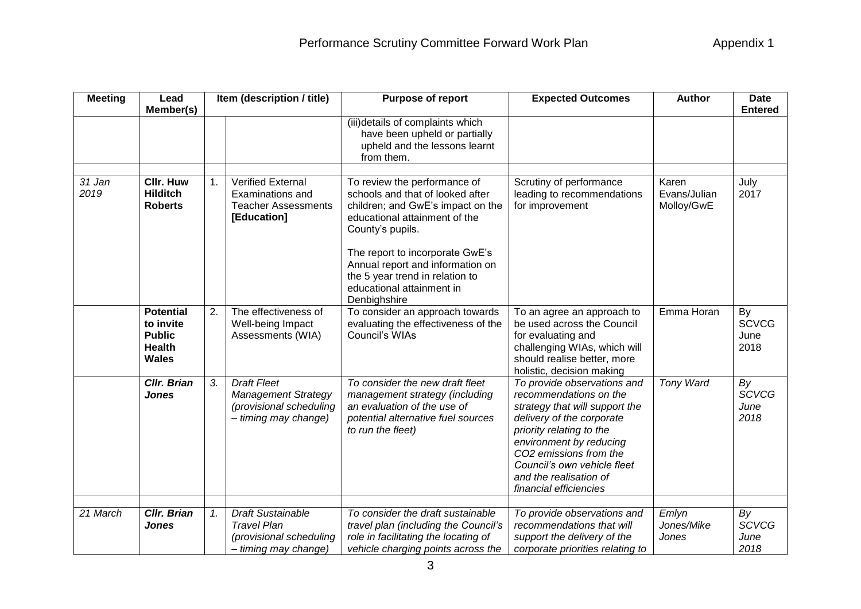| <b>Meeting</b>   | Lead<br>Member(s)                                                               | Item (description / title) |                                                                                                     | Purpose of report                                                                                                                                                                                                                                                                                                 | <b>Expected Outcomes</b>                                                                                                                                                                                                                                                                 | <b>Author</b>                       | <b>Date</b><br><b>Entered</b>      |
|------------------|---------------------------------------------------------------------------------|----------------------------|-----------------------------------------------------------------------------------------------------|-------------------------------------------------------------------------------------------------------------------------------------------------------------------------------------------------------------------------------------------------------------------------------------------------------------------|------------------------------------------------------------------------------------------------------------------------------------------------------------------------------------------------------------------------------------------------------------------------------------------|-------------------------------------|------------------------------------|
|                  |                                                                                 |                            |                                                                                                     | (iii)details of complaints which<br>have been upheld or partially<br>upheld and the lessons learnt<br>from them.                                                                                                                                                                                                  |                                                                                                                                                                                                                                                                                          |                                     |                                    |
| $31$ Jan<br>2019 | <b>CIIr. Huw</b><br><b>Hilditch</b><br><b>Roberts</b>                           | 1.                         | <b>Verified External</b><br>Examinations and<br><b>Teacher Assessments</b><br>[Education]           | To review the performance of<br>schools and that of looked after<br>children; and GwE's impact on the<br>educational attainment of the<br>County's pupils.<br>The report to incorporate GwE's<br>Annual report and information on<br>the 5 year trend in relation to<br>educational attainment in<br>Denbighshire | Scrutiny of performance<br>leading to recommendations<br>for improvement                                                                                                                                                                                                                 | Karen<br>Evans/Julian<br>Molloy/GwE | July<br>2017                       |
|                  | <b>Potential</b><br>to invite<br><b>Public</b><br><b>Health</b><br><b>Wales</b> | 2.                         | The effectiveness of<br>Well-being Impact<br>Assessments (WIA)                                      | To consider an approach towards<br>evaluating the effectiveness of the<br>Council's WIAs                                                                                                                                                                                                                          | To an agree an approach to<br>be used across the Council<br>for evaluating and<br>challenging WIAs, which will<br>should realise better, more<br>holistic, decision making                                                                                                               | Emma Horan                          | By<br><b>SCVCG</b><br>June<br>2018 |
|                  | <b>Cllr. Brian</b><br><b>Jones</b>                                              | 3.                         | <b>Draft Fleet</b><br><b>Management Strategy</b><br>(provisional scheduling<br>- timing may change) | To consider the new draft fleet<br>management strategy (including<br>an evaluation of the use of<br>potential alternative fuel sources<br>to run the fleet)                                                                                                                                                       | To provide observations and<br>recommendations on the<br>strategy that will support the<br>delivery of the corporate<br>priority relating to the<br>environment by reducing<br>CO2 emissions from the<br>Council's own vehicle fleet<br>and the realisation of<br>financial efficiencies | Tony Ward                           | By<br><b>SCVCG</b><br>June<br>2018 |
| 21 March         | <b>Cllr. Brian</b><br><b>Jones</b>                                              | 1.                         | <b>Draft Sustainable</b><br><b>Travel Plan</b><br>(provisional scheduling<br>- timing may change)   | To consider the draft sustainable<br>travel plan (including the Council's<br>role in facilitating the locating of<br>vehicle charging points across the                                                                                                                                                           | To provide observations and<br>recommendations that will<br>support the delivery of the<br>corporate priorities relating to                                                                                                                                                              | Emlyn<br>Jones/Mike<br>Jones        | By<br><b>SCVCG</b><br>June<br>2018 |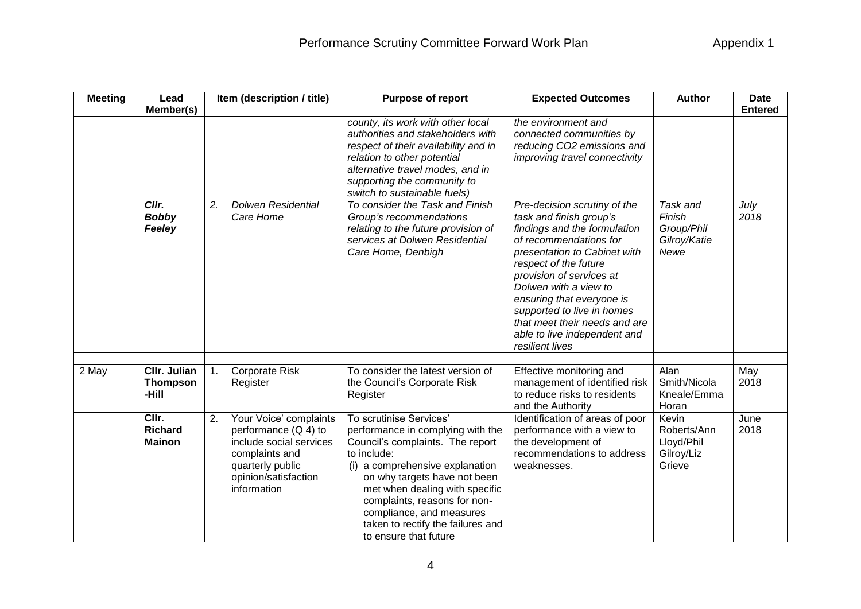| <b>Meeting</b> | Lead<br>Member(s)                               |    | Item (description / title)                                                                                                                               | Purpose of report                                                                                                                                                                                                                                                                                                                              | <b>Expected Outcomes</b>                                                                                                                                                                                                                                                                                                                                                       | <b>Author</b>                                              | <b>Date</b><br><b>Entered</b> |
|----------------|-------------------------------------------------|----|----------------------------------------------------------------------------------------------------------------------------------------------------------|------------------------------------------------------------------------------------------------------------------------------------------------------------------------------------------------------------------------------------------------------------------------------------------------------------------------------------------------|--------------------------------------------------------------------------------------------------------------------------------------------------------------------------------------------------------------------------------------------------------------------------------------------------------------------------------------------------------------------------------|------------------------------------------------------------|-------------------------------|
|                |                                                 |    |                                                                                                                                                          | county, its work with other local<br>authorities and stakeholders with<br>respect of their availability and in<br>relation to other potential<br>alternative travel modes, and in<br>supporting the community to<br>switch to sustainable fuels)                                                                                               | the environment and<br>connected communities by<br>reducing CO2 emissions and<br>improving travel connectivity                                                                                                                                                                                                                                                                 |                                                            |                               |
|                | Cllr.<br><b>Bobby</b><br>Feeley                 | 2. | <b>Dolwen Residential</b><br>Care Home                                                                                                                   | To consider the Task and Finish<br>Group's recommendations<br>relating to the future provision of<br>services at Dolwen Residential<br>Care Home, Denbigh                                                                                                                                                                                      | Pre-decision scrutiny of the<br>task and finish group's<br>findings and the formulation<br>of recommendations for<br>presentation to Cabinet with<br>respect of the future<br>provision of services at<br>Dolwen with a view to<br>ensuring that everyone is<br>supported to live in homes<br>that meet their needs and are<br>able to live independent and<br>resilient lives | Task and<br>Finish<br>Group/Phil<br>Gilroy/Katie<br>Newe   | July<br>2018                  |
| 2 May          | <b>CIIr. Julian</b><br><b>Thompson</b><br>-Hill | 1. | Corporate Risk<br>Register                                                                                                                               | To consider the latest version of<br>the Council's Corporate Risk<br>Register                                                                                                                                                                                                                                                                  | Effective monitoring and<br>management of identified risk<br>to reduce risks to residents<br>and the Authority                                                                                                                                                                                                                                                                 | Alan<br>Smith/Nicola<br>Kneale/Emma<br>Horan               | May<br>2018                   |
|                | CIIr.<br><b>Richard</b><br><b>Mainon</b>        | 2. | Your Voice' complaints<br>performance $(Q 4)$ to<br>include social services<br>complaints and<br>quarterly public<br>opinion/satisfaction<br>information | To scrutinise Services'<br>performance in complying with the<br>Council's complaints. The report<br>to include:<br>(i) a comprehensive explanation<br>on why targets have not been<br>met when dealing with specific<br>complaints, reasons for non-<br>compliance, and measures<br>taken to rectify the failures and<br>to ensure that future | Identification of areas of poor<br>performance with a view to<br>the development of<br>recommendations to address<br>weaknesses.                                                                                                                                                                                                                                               | Kevin<br>Roberts/Ann<br>Lloyd/Phil<br>Gilroy/Liz<br>Grieve | June<br>2018                  |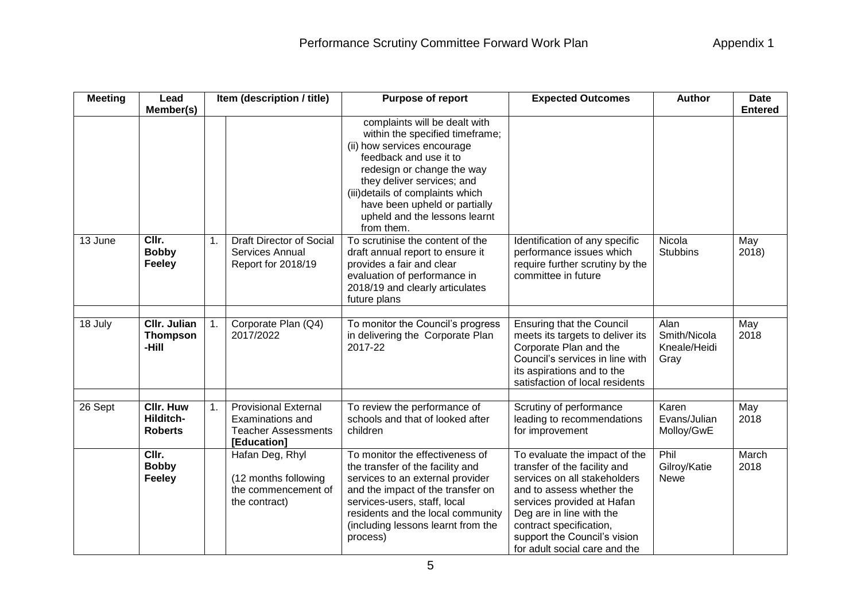| <b>Meeting</b> | Item (description / title)<br>Lead              |    |                                                                                              | Purpose of report                                                                                                                                                                                                                                                                                         | <b>Expected Outcomes</b>                                                                                                                                                                                                                                                         | <b>Author</b>                                | <b>Date</b>    |
|----------------|-------------------------------------------------|----|----------------------------------------------------------------------------------------------|-----------------------------------------------------------------------------------------------------------------------------------------------------------------------------------------------------------------------------------------------------------------------------------------------------------|----------------------------------------------------------------------------------------------------------------------------------------------------------------------------------------------------------------------------------------------------------------------------------|----------------------------------------------|----------------|
|                | Member(s)                                       |    |                                                                                              | complaints will be dealt with<br>within the specified timeframe;<br>(ii) how services encourage<br>feedback and use it to<br>redesign or change the way<br>they deliver services; and<br>(iii)details of complaints which<br>have been upheld or partially<br>upheld and the lessons learnt<br>from them. |                                                                                                                                                                                                                                                                                  |                                              | <b>Entered</b> |
| 13 June        | CIIr.<br><b>Bobby</b><br><b>Feeley</b>          | 1. | Draft Director of Social<br>Services Annual<br>Report for 2018/19                            | To scrutinise the content of the<br>draft annual report to ensure it<br>provides a fair and clear<br>evaluation of performance in<br>2018/19 and clearly articulates<br>future plans                                                                                                                      | Identification of any specific<br>performance issues which<br>require further scrutiny by the<br>committee in future                                                                                                                                                             | Nicola<br><b>Stubbins</b>                    | May<br>2018    |
| 18 July        | <b>CIIr. Julian</b><br><b>Thompson</b><br>-Hill | 1. | Corporate Plan (Q4)<br>2017/2022                                                             | To monitor the Council's progress<br>in delivering the Corporate Plan<br>2017-22                                                                                                                                                                                                                          | <b>Ensuring that the Council</b><br>meets its targets to deliver its<br>Corporate Plan and the<br>Council's services in line with<br>its aspirations and to the<br>satisfaction of local residents                                                                               | Alan<br>Smith/Nicola<br>Kneale/Heidi<br>Gray | May<br>2018    |
| 26 Sept        | <b>CIIr. Huw</b><br>Hilditch-<br><b>Roberts</b> | 1. | <b>Provisional External</b><br>Examinations and<br><b>Teacher Assessments</b><br>[Education] | To review the performance of<br>schools and that of looked after<br>children                                                                                                                                                                                                                              | Scrutiny of performance<br>leading to recommendations<br>for improvement                                                                                                                                                                                                         | Karen<br>Evans/Julian<br>Molloy/GwE          | May<br>2018    |
|                | CIIr.<br><b>Bobby</b><br><b>Feeley</b>          |    | Hafan Deg, Rhyl<br>(12 months following<br>the commencement of<br>the contract)              | To monitor the effectiveness of<br>the transfer of the facility and<br>services to an external provider<br>and the impact of the transfer on<br>services-users, staff, local<br>residents and the local community<br>(including lessons learnt from the<br>process)                                       | To evaluate the impact of the<br>transfer of the facility and<br>services on all stakeholders<br>and to assess whether the<br>services provided at Hafan<br>Deg are in line with the<br>contract specification,<br>support the Council's vision<br>for adult social care and the | Phil<br>Gilroy/Katie<br><b>Newe</b>          | March<br>2018  |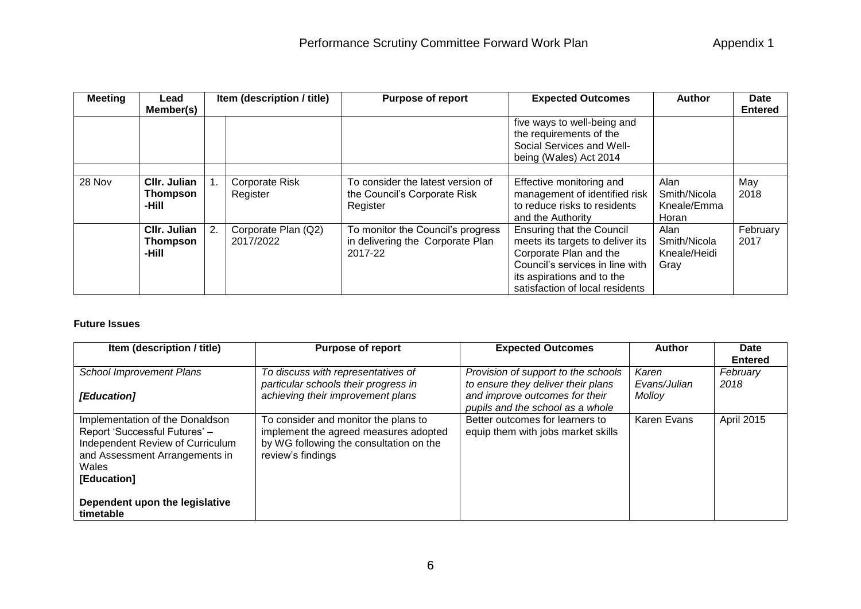| <b>Meeting</b> | Lead<br>Member(s)                        | Item (description / title) |                                   | <b>Purpose of report</b>                                                         | <b>Expected Outcomes</b>                                                                                                                                                                           | <b>Author</b>                                | <b>Date</b><br><b>Entered</b> |
|----------------|------------------------------------------|----------------------------|-----------------------------------|----------------------------------------------------------------------------------|----------------------------------------------------------------------------------------------------------------------------------------------------------------------------------------------------|----------------------------------------------|-------------------------------|
|                |                                          |                            |                                   |                                                                                  | five ways to well-being and<br>the requirements of the<br>Social Services and Well-<br>being (Wales) Act 2014                                                                                      |                                              |                               |
| 28 Nov         | CIIr. Julian<br><b>Thompson</b><br>-Hill |                            | <b>Corporate Risk</b><br>Register | To consider the latest version of<br>the Council's Corporate Risk<br>Register    | Effective monitoring and<br>management of identified risk<br>to reduce risks to residents                                                                                                          | Alan<br>Smith/Nicola<br>Kneale/Emma          | May<br>2018                   |
|                |                                          |                            |                                   |                                                                                  | and the Authority                                                                                                                                                                                  | Horan                                        |                               |
|                | CIIr. Julian<br><b>Thompson</b><br>-Hill |                            | Corporate Plan (Q2)<br>2017/2022  | To monitor the Council's progress<br>in delivering the Corporate Plan<br>2017-22 | <b>Ensuring that the Council</b><br>meets its targets to deliver its<br>Corporate Plan and the<br>Council's services in line with<br>its aspirations and to the<br>satisfaction of local residents | Alan<br>Smith/Nicola<br>Kneale/Heidi<br>Gray | February<br>2017              |

## **Future Issues**

| Provision of support to the schools<br>to ensure they deliver their plans | Karen        | February   |
|---------------------------------------------------------------------------|--------------|------------|
|                                                                           | Evans/Julian | 2018       |
| and improve outcomes for their<br>pupils and the school as a whole        | Molloy       |            |
| Better outcomes for learners to<br>equip them with jobs market skills     | Karen Evans  | April 2015 |
|                                                                           |              |            |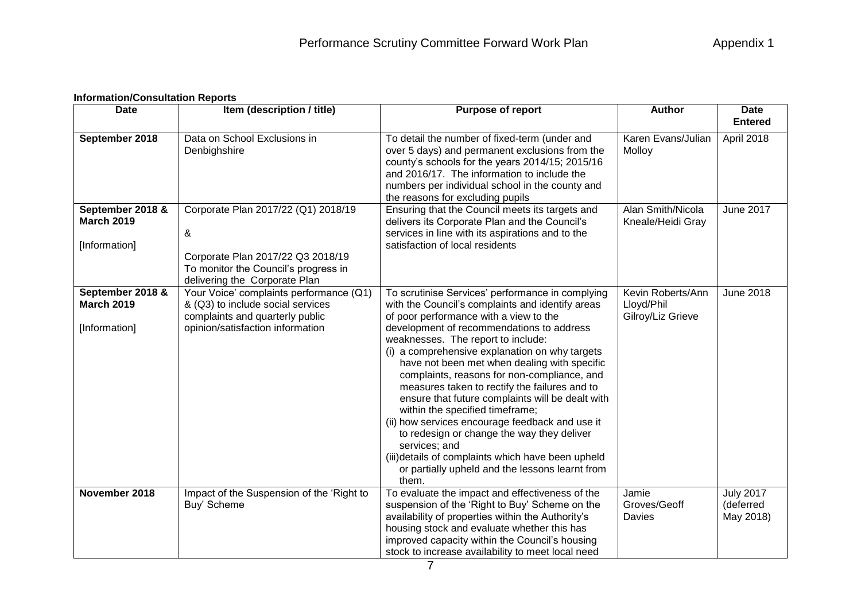## **Information/Consultation Reports**

| <b>Date</b>                                            | Item (description / title)                                                                                                                             | Purpose of report                                                                                                                                                                                                                                                                                                                                                                                                                                                                                                                                                                                                                                                                                                                                             | <b>Author</b>                                        | <b>Date</b><br><b>Entered</b>              |  |
|--------------------------------------------------------|--------------------------------------------------------------------------------------------------------------------------------------------------------|---------------------------------------------------------------------------------------------------------------------------------------------------------------------------------------------------------------------------------------------------------------------------------------------------------------------------------------------------------------------------------------------------------------------------------------------------------------------------------------------------------------------------------------------------------------------------------------------------------------------------------------------------------------------------------------------------------------------------------------------------------------|------------------------------------------------------|--------------------------------------------|--|
| September 2018                                         | Data on School Exclusions in<br>Denbighshire                                                                                                           | To detail the number of fixed-term (under and<br>over 5 days) and permanent exclusions from the<br>county's schools for the years 2014/15; 2015/16<br>and 2016/17. The information to include the<br>numbers per individual school in the county and<br>the reasons for excluding pupils                                                                                                                                                                                                                                                                                                                                                                                                                                                                      | Karen Evans/Julian<br>Molloy                         | April 2018                                 |  |
| September 2018 &<br><b>March 2019</b><br>[Information] | Corporate Plan 2017/22 (Q1) 2018/19<br>&<br>Corporate Plan 2017/22 Q3 2018/19<br>To monitor the Council's progress in<br>delivering the Corporate Plan | Ensuring that the Council meets its targets and<br>delivers its Corporate Plan and the Council's<br>services in line with its aspirations and to the<br>satisfaction of local residents                                                                                                                                                                                                                                                                                                                                                                                                                                                                                                                                                                       | Alan Smith/Nicola<br>Kneale/Heidi Gray               | <b>June 2017</b>                           |  |
| September 2018 &<br><b>March 2019</b><br>[Information] | Your Voice' complaints performance (Q1)<br>& (Q3) to include social services<br>complaints and quarterly public<br>opinion/satisfaction information    | To scrutinise Services' performance in complying<br>with the Council's complaints and identify areas<br>of poor performance with a view to the<br>development of recommendations to address<br>weaknesses. The report to include:<br>(i) a comprehensive explanation on why targets<br>have not been met when dealing with specific<br>complaints, reasons for non-compliance, and<br>measures taken to rectify the failures and to<br>ensure that future complaints will be dealt with<br>within the specified timeframe;<br>(ii) how services encourage feedback and use it<br>to redesign or change the way they deliver<br>services; and<br>(iii)details of complaints which have been upheld<br>or partially upheld and the lessons learnt from<br>them. | Kevin Roberts/Ann<br>Lloyd/Phil<br>Gilroy/Liz Grieve | <b>June 2018</b>                           |  |
| November 2018                                          | Impact of the Suspension of the 'Right to<br>Buy' Scheme                                                                                               | To evaluate the impact and effectiveness of the<br>suspension of the 'Right to Buy' Scheme on the<br>availability of properties within the Authority's<br>housing stock and evaluate whether this has<br>improved capacity within the Council's housing<br>stock to increase availability to meet local need                                                                                                                                                                                                                                                                                                                                                                                                                                                  | Jamie<br>Groves/Geoff<br>Davies                      | <b>July 2017</b><br>(deferred<br>May 2018) |  |